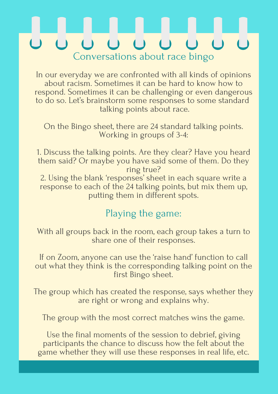### 000000 Conversations about race bingo

In our everyday we are confronted with all kinds of opinions about racism. Sometimes it can be hard to know how to respond. Sometimes it can be challenging or even dangerous to do so. Let' s brainstorm some responses to some standard talking points about race.

On the Bingo sheet, there are 24 standard talking points. Working in groups of 3-4:

If on Zoom, anyone can use the 'raise hand' function to call  $\zeta$ out what they think is the corresponding talking point on the first Bingo sheet.

- 1. Discuss the talking points. Are they clear? Have you heard them said? Or maybe you have said some of them. Do they ring true?
- 2. Using the blank ' responses sheet in each square write a ' response to each of the 24 talking points, but mix them up, putting them in different spots.

#### Playing the game:

With all groups back in the room, each group takes a turn to share one of their responses.

The group which has created the response, says whether they are right or wrong and explains why.

The group with the most correct matches wins the game.

Use the final moments of the session to debrief, giving participants the chance to discuss how the felt about the game whether they will use these responses in real life, etc.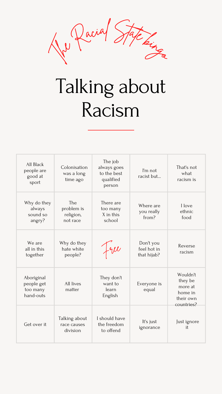

# Talking about Racism

| All Black<br>people are<br>good at<br>sport       | Colonisation<br>was a long<br>time ago     | The job<br>always goes<br>to the best<br>qualified<br>person | I'm not<br>racist but                   | That's not<br>what<br>racism is                                      |
|---------------------------------------------------|--------------------------------------------|--------------------------------------------------------------|-----------------------------------------|----------------------------------------------------------------------|
| Why do they<br>always<br>sound so<br>angry?       | The<br>problem is<br>religion,<br>not race | There are<br>too many<br>X in this<br>school                 | Where are<br>you really<br>from?        | I love<br>ethnic<br>food                                             |
| We are<br>all in this<br>together                 | Why do they<br>hate white<br>people?       | $f$ apple                                                    | Don't you<br>feel hot in<br>that hijab? | Reverse<br>racism                                                    |
| Aboriginal<br>people get<br>too many<br>hand-outs | All lives<br>matter                        | They don't<br>want to<br>learn<br>English                    | Everyone is<br>equal                    | Wouldn't<br>they be<br>more at<br>home in<br>their own<br>countries? |
| Get over it                                       | Talking about<br>race causes<br>division   | I should have<br>the freedom<br>to offend                    | It's just<br>ignorance                  | Just ignore<br>it                                                    |